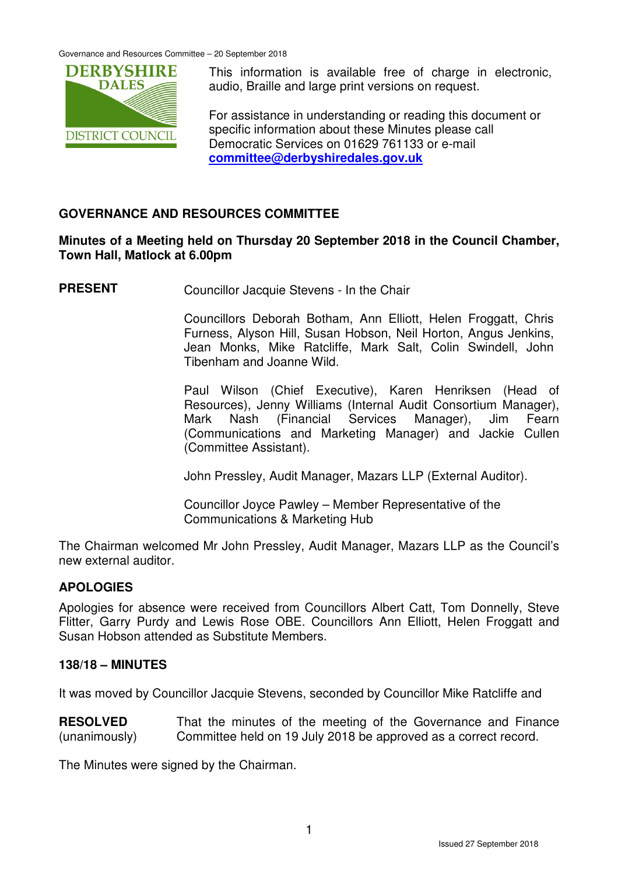

This information is available free of charge in electronic, audio, Braille and large print versions on request.

For assistance in understanding or reading this document or specific information about these Minutes please call Democratic Services on 01629 761133 or e-mail **committee@derbyshiredales.gov.uk**

## **GOVERNANCE AND RESOURCES COMMITTEE**

### **Minutes of a Meeting held on Thursday 20 September 2018 in the Council Chamber, Town Hall, Matlock at 6.00pm**

**PRESENT** Councillor Jacquie Stevens - In the Chair

 Councillors Deborah Botham, Ann Elliott, Helen Froggatt, Chris Furness, Alyson Hill, Susan Hobson, Neil Horton, Angus Jenkins, Jean Monks, Mike Ratcliffe, Mark Salt, Colin Swindell, John Tibenham and Joanne Wild.

 Paul Wilson (Chief Executive), Karen Henriksen (Head of Resources), Jenny Williams (Internal Audit Consortium Manager), Mark Nash (Financial Services Manager), Jim Fearn (Communications and Marketing Manager) and Jackie Cullen (Committee Assistant).

John Pressley, Audit Manager, Mazars LLP (External Auditor).

Councillor Joyce Pawley – Member Representative of the Communications & Marketing Hub

The Chairman welcomed Mr John Pressley, Audit Manager, Mazars LLP as the Council's new external auditor.

## **APOLOGIES**

Apologies for absence were received from Councillors Albert Catt, Tom Donnelly, Steve Flitter, Garry Purdy and Lewis Rose OBE. Councillors Ann Elliott, Helen Froggatt and Susan Hobson attended as Substitute Members.

#### **138/18 – MINUTES**

It was moved by Councillor Jacquie Stevens, seconded by Councillor Mike Ratcliffe and

**RESOLVED** (unanimously) That the minutes of the meeting of the Governance and Finance Committee held on 19 July 2018 be approved as a correct record.

The Minutes were signed by the Chairman.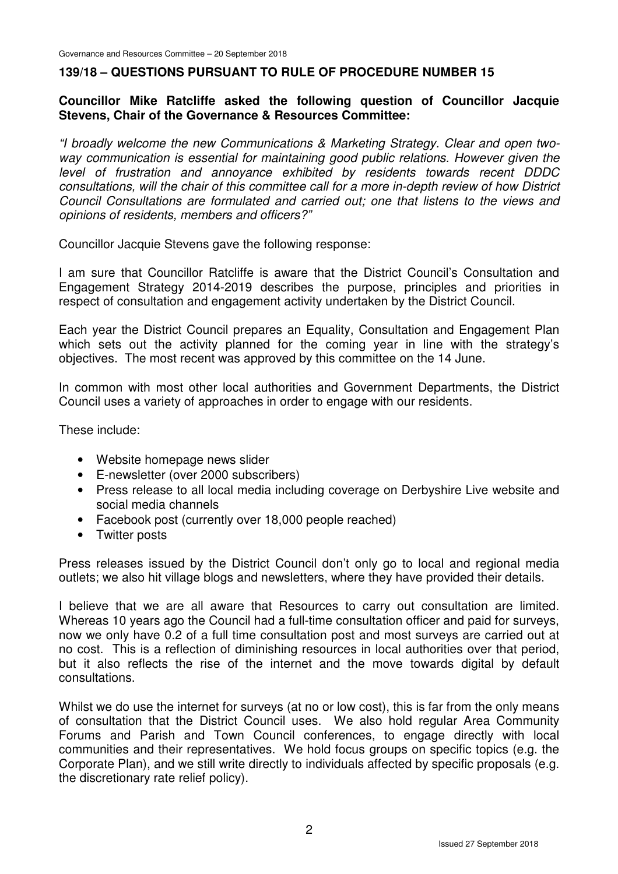#### **139/18 – QUESTIONS PURSUANT TO RULE OF PROCEDURE NUMBER 15**

#### **Councillor Mike Ratcliffe asked the following question of Councillor Jacquie Stevens, Chair of the Governance & Resources Committee:**

"I broadly welcome the new Communications & Marketing Strategy. Clear and open twoway communication is essential for maintaining good public relations. However given the level of frustration and annoyance exhibited by residents towards recent DDDC consultations, will the chair of this committee call for a more in-depth review of how District Council Consultations are formulated and carried out; one that listens to the views and opinions of residents, members and officers?"

Councillor Jacquie Stevens gave the following response:

I am sure that Councillor Ratcliffe is aware that the District Council's Consultation and Engagement Strategy 2014-2019 describes the purpose, principles and priorities in respect of consultation and engagement activity undertaken by the District Council.

Each year the District Council prepares an Equality, Consultation and Engagement Plan which sets out the activity planned for the coming year in line with the strategy's objectives. The most recent was approved by this committee on the 14 June.

In common with most other local authorities and Government Departments, the District Council uses a variety of approaches in order to engage with our residents.

These include:

- Website homepage news slider
- E-newsletter (over 2000 subscribers)
- Press release to all local media including coverage on Derbyshire Live website and social media channels
- Facebook post (currently over 18,000 people reached)
- Twitter posts

Press releases issued by the District Council don't only go to local and regional media outlets; we also hit village blogs and newsletters, where they have provided their details.

I believe that we are all aware that Resources to carry out consultation are limited. Whereas 10 years ago the Council had a full-time consultation officer and paid for surveys, now we only have 0.2 of a full time consultation post and most surveys are carried out at no cost. This is a reflection of diminishing resources in local authorities over that period, but it also reflects the rise of the internet and the move towards digital by default consultations.

Whilst we do use the internet for surveys (at no or low cost), this is far from the only means of consultation that the District Council uses. We also hold regular Area Community Forums and Parish and Town Council conferences, to engage directly with local communities and their representatives. We hold focus groups on specific topics (e.g. the Corporate Plan), and we still write directly to individuals affected by specific proposals (e.g. the discretionary rate relief policy).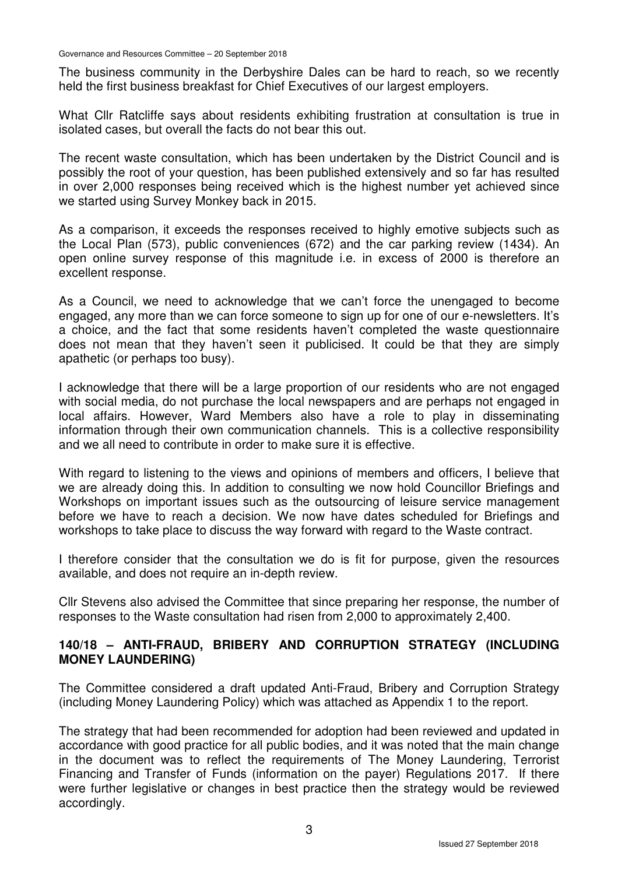The business community in the Derbyshire Dales can be hard to reach, so we recently held the first business breakfast for Chief Executives of our largest employers.

What Cllr Ratcliffe says about residents exhibiting frustration at consultation is true in isolated cases, but overall the facts do not bear this out.

The recent waste consultation, which has been undertaken by the District Council and is possibly the root of your question, has been published extensively and so far has resulted in over 2,000 responses being received which is the highest number yet achieved since we started using Survey Monkey back in 2015.

As a comparison, it exceeds the responses received to highly emotive subjects such as the Local Plan (573), public conveniences (672) and the car parking review (1434). An open online survey response of this magnitude i.e. in excess of 2000 is therefore an excellent response.

As a Council, we need to acknowledge that we can't force the unengaged to become engaged, any more than we can force someone to sign up for one of our e-newsletters. It's a choice, and the fact that some residents haven't completed the waste questionnaire does not mean that they haven't seen it publicised. It could be that they are simply apathetic (or perhaps too busy).

I acknowledge that there will be a large proportion of our residents who are not engaged with social media, do not purchase the local newspapers and are perhaps not engaged in local affairs. However, Ward Members also have a role to play in disseminating information through their own communication channels. This is a collective responsibility and we all need to contribute in order to make sure it is effective.

With regard to listening to the views and opinions of members and officers, I believe that we are already doing this. In addition to consulting we now hold Councillor Briefings and Workshops on important issues such as the outsourcing of leisure service management before we have to reach a decision. We now have dates scheduled for Briefings and workshops to take place to discuss the way forward with regard to the Waste contract.

I therefore consider that the consultation we do is fit for purpose, given the resources available, and does not require an in-depth review.

Cllr Stevens also advised the Committee that since preparing her response, the number of responses to the Waste consultation had risen from 2,000 to approximately 2,400.

#### **140/18 – ANTI-FRAUD, BRIBERY AND CORRUPTION STRATEGY (INCLUDING MONEY LAUNDERING)**

The Committee considered a draft updated Anti-Fraud, Bribery and Corruption Strategy (including Money Laundering Policy) which was attached as Appendix 1 to the report.

The strategy that had been recommended for adoption had been reviewed and updated in accordance with good practice for all public bodies, and it was noted that the main change in the document was to reflect the requirements of The Money Laundering, Terrorist Financing and Transfer of Funds (information on the payer) Regulations 2017. If there were further legislative or changes in best practice then the strategy would be reviewed accordingly.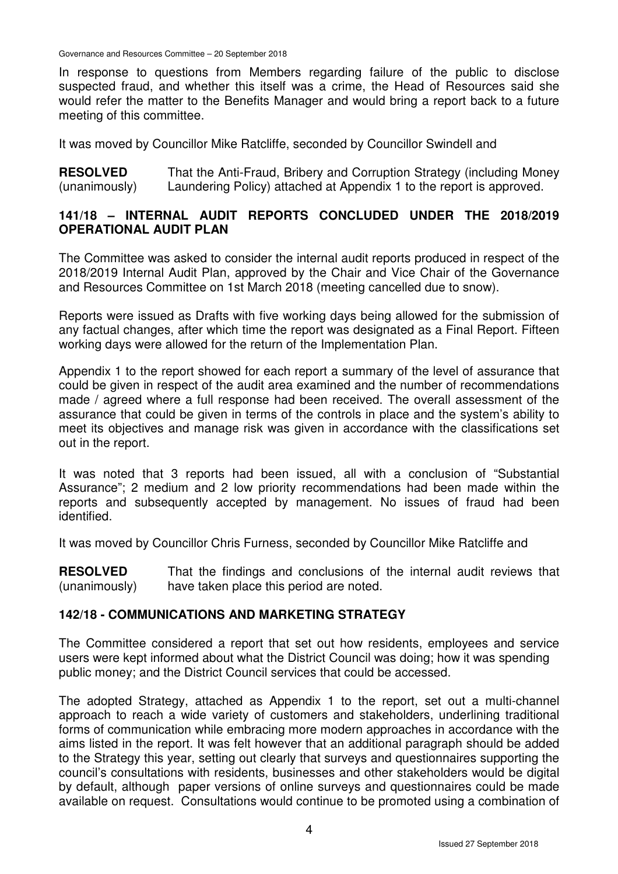In response to questions from Members regarding failure of the public to disclose suspected fraud, and whether this itself was a crime, the Head of Resources said she would refer the matter to the Benefits Manager and would bring a report back to a future meeting of this committee.

It was moved by Councillor Mike Ratcliffe, seconded by Councillor Swindell and

**RESOLVED** (unanimously) That the Anti-Fraud, Bribery and Corruption Strategy (including Money Laundering Policy) attached at Appendix 1 to the report is approved.

### **141/18 – INTERNAL AUDIT REPORTS CONCLUDED UNDER THE 2018/2019 OPERATIONAL AUDIT PLAN**

The Committee was asked to consider the internal audit reports produced in respect of the 2018/2019 Internal Audit Plan, approved by the Chair and Vice Chair of the Governance and Resources Committee on 1st March 2018 (meeting cancelled due to snow).

Reports were issued as Drafts with five working days being allowed for the submission of any factual changes, after which time the report was designated as a Final Report. Fifteen working days were allowed for the return of the Implementation Plan.

Appendix 1 to the report showed for each report a summary of the level of assurance that could be given in respect of the audit area examined and the number of recommendations made / agreed where a full response had been received. The overall assessment of the assurance that could be given in terms of the controls in place and the system's ability to meet its objectives and manage risk was given in accordance with the classifications set out in the report.

It was noted that 3 reports had been issued, all with a conclusion of "Substantial Assurance"; 2 medium and 2 low priority recommendations had been made within the reports and subsequently accepted by management. No issues of fraud had been identified.

It was moved by Councillor Chris Furness, seconded by Councillor Mike Ratcliffe and

**RESOLVED** (unanimously) That the findings and conclusions of the internal audit reviews that have taken place this period are noted.

## **142/18 - COMMUNICATIONS AND MARKETING STRATEGY**

The Committee considered a report that set out how residents, employees and service users were kept informed about what the District Council was doing; how it was spending public money; and the District Council services that could be accessed.

The adopted Strategy, attached as Appendix 1 to the report, set out a multi-channel approach to reach a wide variety of customers and stakeholders, underlining traditional forms of communication while embracing more modern approaches in accordance with the aims listed in the report. It was felt however that an additional paragraph should be added to the Strategy this year, setting out clearly that surveys and questionnaires supporting the council's consultations with residents, businesses and other stakeholders would be digital by default, although paper versions of online surveys and questionnaires could be made available on request. Consultations would continue to be promoted using a combination of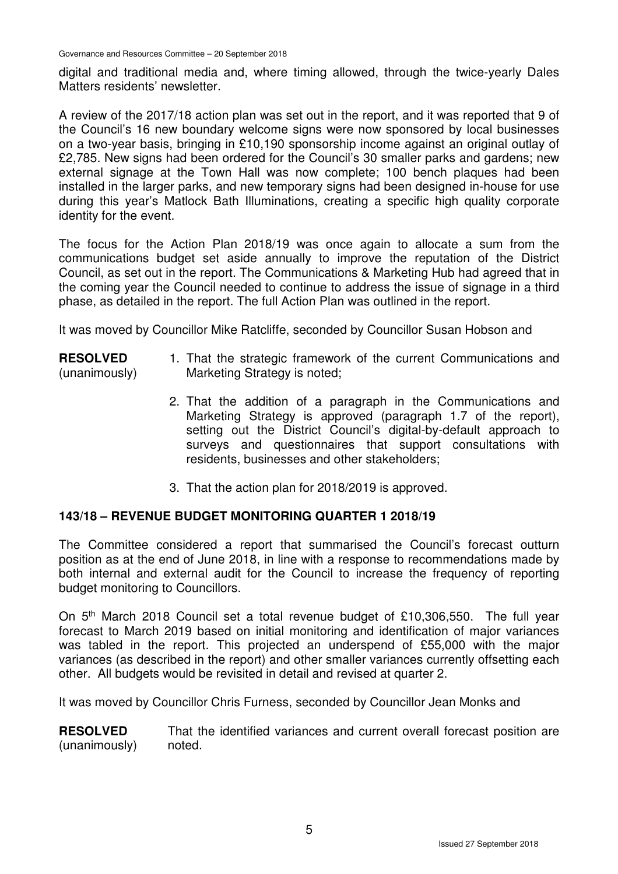digital and traditional media and, where timing allowed, through the twice-yearly Dales Matters residents' newsletter.

A review of the 2017/18 action plan was set out in the report, and it was reported that 9 of the Council's 16 new boundary welcome signs were now sponsored by local businesses on a two-year basis, bringing in £10,190 sponsorship income against an original outlay of £2,785. New signs had been ordered for the Council's 30 smaller parks and gardens; new external signage at the Town Hall was now complete; 100 bench plaques had been installed in the larger parks, and new temporary signs had been designed in-house for use during this year's Matlock Bath Illuminations, creating a specific high quality corporate identity for the event.

The focus for the Action Plan 2018/19 was once again to allocate a sum from the communications budget set aside annually to improve the reputation of the District Council, as set out in the report. The Communications & Marketing Hub had agreed that in the coming year the Council needed to continue to address the issue of signage in a third phase, as detailed in the report. The full Action Plan was outlined in the report.

It was moved by Councillor Mike Ratcliffe, seconded by Councillor Susan Hobson and

#### **RESOLVED** (unanimously) 1. That the strategic framework of the current Communications and Marketing Strategy is noted;

- 2. That the addition of a paragraph in the Communications and Marketing Strategy is approved (paragraph 1.7 of the report), setting out the District Council's digital-by-default approach to surveys and questionnaires that support consultations with residents, businesses and other stakeholders;
- 3. That the action plan for 2018/2019 is approved.

## **143/18 – REVENUE BUDGET MONITORING QUARTER 1 2018/19**

The Committee considered a report that summarised the Council's forecast outturn position as at the end of June 2018, in line with a response to recommendations made by both internal and external audit for the Council to increase the frequency of reporting budget monitoring to Councillors.

On 5th March 2018 Council set a total revenue budget of £10,306,550. The full year forecast to March 2019 based on initial monitoring and identification of major variances was tabled in the report. This projected an underspend of £55,000 with the major variances (as described in the report) and other smaller variances currently offsetting each other. All budgets would be revisited in detail and revised at quarter 2.

It was moved by Councillor Chris Furness, seconded by Councillor Jean Monks and

**RESOLVED** (unanimously) That the identified variances and current overall forecast position are noted.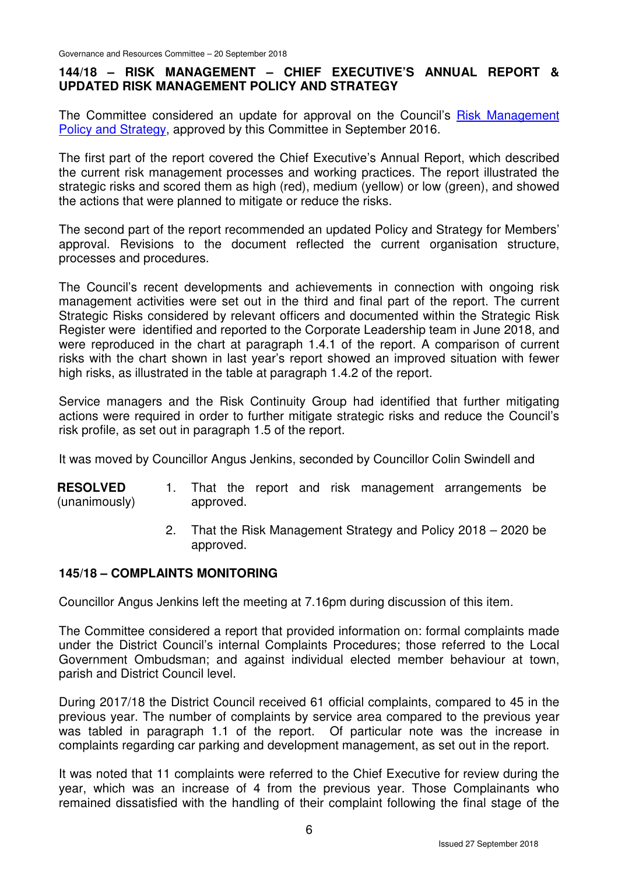## **144/18 – RISK MANAGEMENT – CHIEF EXECUTIVE'S ANNUAL REPORT & UPDATED RISK MANAGEMENT POLICY AND STRATEGY**

The Committee considered an update for approval on the Council's Risk Management Policy and Strategy, approved by this Committee in September 2016.

The first part of the report covered the Chief Executive's Annual Report, which described the current risk management processes and working practices. The report illustrated the strategic risks and scored them as high (red), medium (yellow) or low (green), and showed the actions that were planned to mitigate or reduce the risks.

The second part of the report recommended an updated Policy and Strategy for Members' approval. Revisions to the document reflected the current organisation structure, processes and procedures.

The Council's recent developments and achievements in connection with ongoing risk management activities were set out in the third and final part of the report. The current Strategic Risks considered by relevant officers and documented within the Strategic Risk Register were identified and reported to the Corporate Leadership team in June 2018, and were reproduced in the chart at paragraph 1.4.1 of the report. A comparison of current risks with the chart shown in last year's report showed an improved situation with fewer high risks, as illustrated in the table at paragraph 1.4.2 of the report.

Service managers and the Risk Continuity Group had identified that further mitigating actions were required in order to further mitigate strategic risks and reduce the Council's risk profile, as set out in paragraph 1.5 of the report.

It was moved by Councillor Angus Jenkins, seconded by Councillor Colin Swindell and

**RESOLVED** (unanimously) 1. That the report and risk management arrangements be approved.

> 2. That the Risk Management Strategy and Policy 2018 – 2020 be approved.

#### **145/18 – COMPLAINTS MONITORING**

Councillor Angus Jenkins left the meeting at 7.16pm during discussion of this item.

The Committee considered a report that provided information on: formal complaints made under the District Council's internal Complaints Procedures; those referred to the Local Government Ombudsman; and against individual elected member behaviour at town, parish and District Council level.

During 2017/18 the District Council received 61 official complaints, compared to 45 in the previous year. The number of complaints by service area compared to the previous year was tabled in paragraph 1.1 of the report. Of particular note was the increase in complaints regarding car parking and development management, as set out in the report.

It was noted that 11 complaints were referred to the Chief Executive for review during the year, which was an increase of 4 from the previous year. Those Complainants who remained dissatisfied with the handling of their complaint following the final stage of the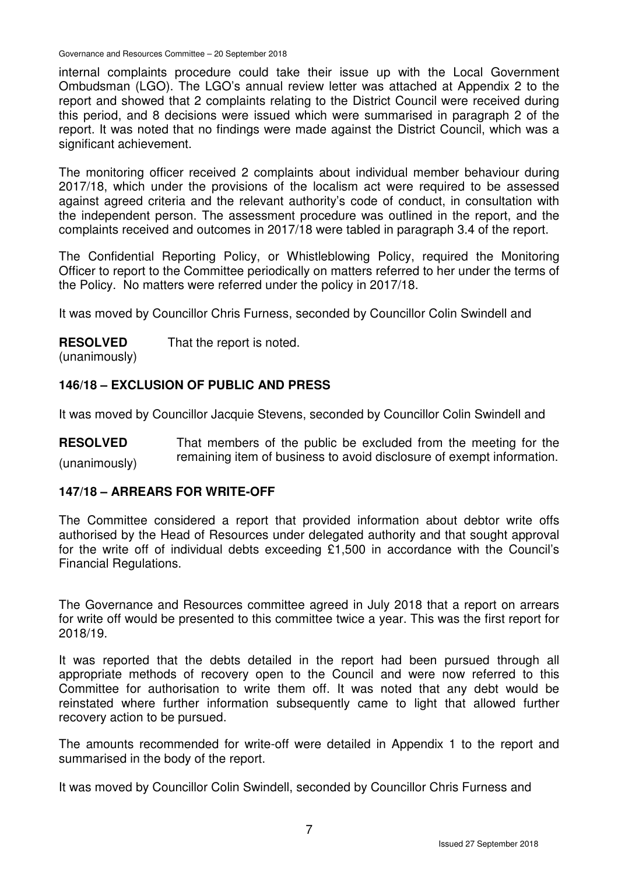internal complaints procedure could take their issue up with the Local Government Ombudsman (LGO). The LGO's annual review letter was attached at Appendix 2 to the report and showed that 2 complaints relating to the District Council were received during this period, and 8 decisions were issued which were summarised in paragraph 2 of the report. It was noted that no findings were made against the District Council, which was a significant achievement.

The monitoring officer received 2 complaints about individual member behaviour during 2017/18, which under the provisions of the localism act were required to be assessed against agreed criteria and the relevant authority's code of conduct, in consultation with the independent person. The assessment procedure was outlined in the report, and the complaints received and outcomes in 2017/18 were tabled in paragraph 3.4 of the report.

The Confidential Reporting Policy, or Whistleblowing Policy, required the Monitoring Officer to report to the Committee periodically on matters referred to her under the terms of the Policy. No matters were referred under the policy in 2017/18.

It was moved by Councillor Chris Furness, seconded by Councillor Colin Swindell and

**RESOLVED** That the report is noted.

(unanimously)

# **146/18 – EXCLUSION OF PUBLIC AND PRESS**

It was moved by Councillor Jacquie Stevens, seconded by Councillor Colin Swindell and

**RESOLVED** (unanimously) That members of the public be excluded from the meeting for the remaining item of business to avoid disclosure of exempt information.

## **147/18 – ARREARS FOR WRITE-OFF**

The Committee considered a report that provided information about debtor write offs authorised by the Head of Resources under delegated authority and that sought approval for the write off of individual debts exceeding £1,500 in accordance with the Council's Financial Regulations.

The Governance and Resources committee agreed in July 2018 that a report on arrears for write off would be presented to this committee twice a year. This was the first report for 2018/19.

It was reported that the debts detailed in the report had been pursued through all appropriate methods of recovery open to the Council and were now referred to this Committee for authorisation to write them off. It was noted that any debt would be reinstated where further information subsequently came to light that allowed further recovery action to be pursued.

The amounts recommended for write-off were detailed in Appendix 1 to the report and summarised in the body of the report.

It was moved by Councillor Colin Swindell, seconded by Councillor Chris Furness and